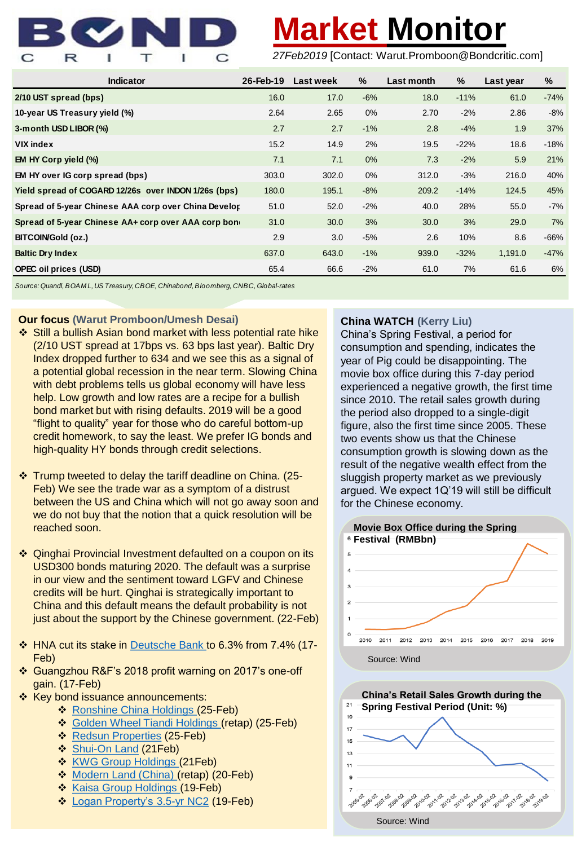

# **Market Monitor**

*27Feb2019* [Contact: Warut.Promboon@Bondcritic.com]

| <b>Indicator</b>                                     | 26-Feb-19 | Last week | %     | Last month | %      | Last year | %      |
|------------------------------------------------------|-----------|-----------|-------|------------|--------|-----------|--------|
| 2/10 UST spread (bps)                                | 16.0      | 17.0      | $-6%$ | 18.0       | $-11%$ | 61.0      | $-74%$ |
| 10-year US Treasury yield (%)                        | 2.64      | 2.65      | $0\%$ | 2.70       | $-2%$  | 2.86      | $-8%$  |
| 3-m onth USD LIBOR (%)                               | 2.7       | 2.7       | $-1%$ | 2.8        | $-4%$  | 1.9       | 37%    |
| <b>VIX</b> index                                     | 15.2      | 14.9      | 2%    | 19.5       | $-22%$ | 18.6      | $-18%$ |
| EM HY Corp yield (%)                                 | 7.1       | 7.1       | 0%    | 7.3        | $-2%$  | 5.9       | 21%    |
| EM HY over IG corp spread (bps)                      | 303.0     | 302.0     | $0\%$ | 312.0      | $-3%$  | 216.0     | 40%    |
| Yield spread of COGARD 12/26s over INDON 1/26s (bps) | 180.0     | 195.1     | $-8%$ | 209.2      | $-14%$ | 124.5     | 45%    |
| Spread of 5-year Chinese AAA corp over China Develor | 51.0      | 52.0      | $-2%$ | 40.0       | 28%    | 55.0      | $-7%$  |
| Spread of 5-year Chinese AA+ corp over AAA corp bone | 31.0      | 30.0      | 3%    | 30.0       | 3%     | 29.0      | 7%     |
| <b>BITCOIN/Gold (oz.)</b>                            | 2.9       | 3.0       | $-5%$ | 2.6        | 10%    | 8.6       | $-66%$ |
| <b>Baltic Dry Index</b>                              | 637.0     | 643.0     | $-1%$ | 939.0      | $-32%$ | 1,191.0   | $-47%$ |
| <b>OPEC oil prices (USD)</b>                         | 65.4      | 66.6      | $-2%$ | 61.0       | 7%     | 61.6      | 6%     |

*Source: Quandl, BOAM L, US Treasury, CBOE, Chinabond, Bloomberg, CNBC, Global-rates*

### **Our focus (Warut Promboon/Umesh Desai)**

- ❖ Still a bullish Asian bond market with less potential rate hike (2/10 UST spread at 17bps vs. 63 bps last year). Baltic Dry Index dropped further to 634 and we see this as a signal of a potential global recession in the near term. Slowing China with debt problems tells us global economy will have less help. Low growth and low rates are a recipe for a bullish bond market but with rising defaults. 2019 will be a good "flight to quality" year for those who do careful bottom-up credit homework, to say the least. We prefer IG bonds and high-quality HY bonds through credit selections.
- ❖ Trump tweeted to delay the tariff deadline on China. (25- Feb) We see the trade war as a symptom of a distrust between the US and China which will not go away soon and we do not buy that the notion that a quick resolution will be reached soon.
- ❖ Qinghai Provincial Investment defaulted on a coupon on its USD300 bonds maturing 2020. The default was a surprise in our view and the sentiment toward LGFV and Chinese credits will be hurt. Qinghai is strategically important to China and this default means the default probability is not just about the support by the Chinese government. (22-Feb)
- ❖ HNA cut its stake in [Deutsche Bank](https://www.sec.gov/Archives/edgar/data/1159508/000119312519042405/d704503dsc13da.htm) to 6.3% from 7.4% (17- Feb)
- ❖ Guangzhou R&F's 2018 profit warning on 2017's one-off gain. (17-Feb)
- ❖ Key bond issuance announcements:
	- ❖ [Ronshine China Holdings \(](http://www3.hkexnews.hk/listedco/listconews/sehk/2019/0225/LTN20190225027.pdf)25-Feb)
	- ❖ [Golden Wheel Tiandi Holdings \(](http://www3.hkexnews.hk/listedco/listconews/sehk/2019/0225/LTN20190225029.pdf)retap) (25-Feb)
	- ❖ [Redsun Properties](http://www3.hkexnews.hk/listedco/listconews/sehk/2019/0225/LTN20190225025.pdf) (25-Feb)
	- ❖ [Shui-On Land](http://www3.hkexnews.hk/listedco/listconews/sehk/2019/0221/LTN20190221033.pdf) (21Feb)
	- ❖ [KWG Group Holdings](http://www3.hkexnews.hk/listedco/listconews/sehk/2019/0221/LTN20190221023.pdf) (21Feb)
	- ❖ [Modern Land \(China\)](http://www3.hkexnews.hk/listedco/listconews/sehk/2019/0220/LTN20190220041.pdf) (retap) (20-Feb)
	- ❖ [Kaisa Group Holdings](http://www3.hkexnews.hk/listedco/listconews/sehk/2019/0219/LTN20190219017.pdf) (19-Feb)
	- ❖ [Logan Property's 3.5-yr NC2](http://www3.hkexnews.hk/listedco/listconews/sehk/2019/0219/LTN20190219015.pdf) (19-Feb)

## **China WATCH (Kerry Liu)**

China's Spring Festival, a period for consumption and spending, indicates the year of Pig could be disappointing. The movie box office during this 7-day period experienced a negative growth, the first time since 2010. The retail sales growth during the period also dropped to a single-digit figure, also the first time since 2005. These two events show us that the Chinese consumption growth is slowing down as the result of the negative wealth effect from the sluggish property market as we previously argued. We expect 1Q'19 will still be difficult for the Chinese economy.